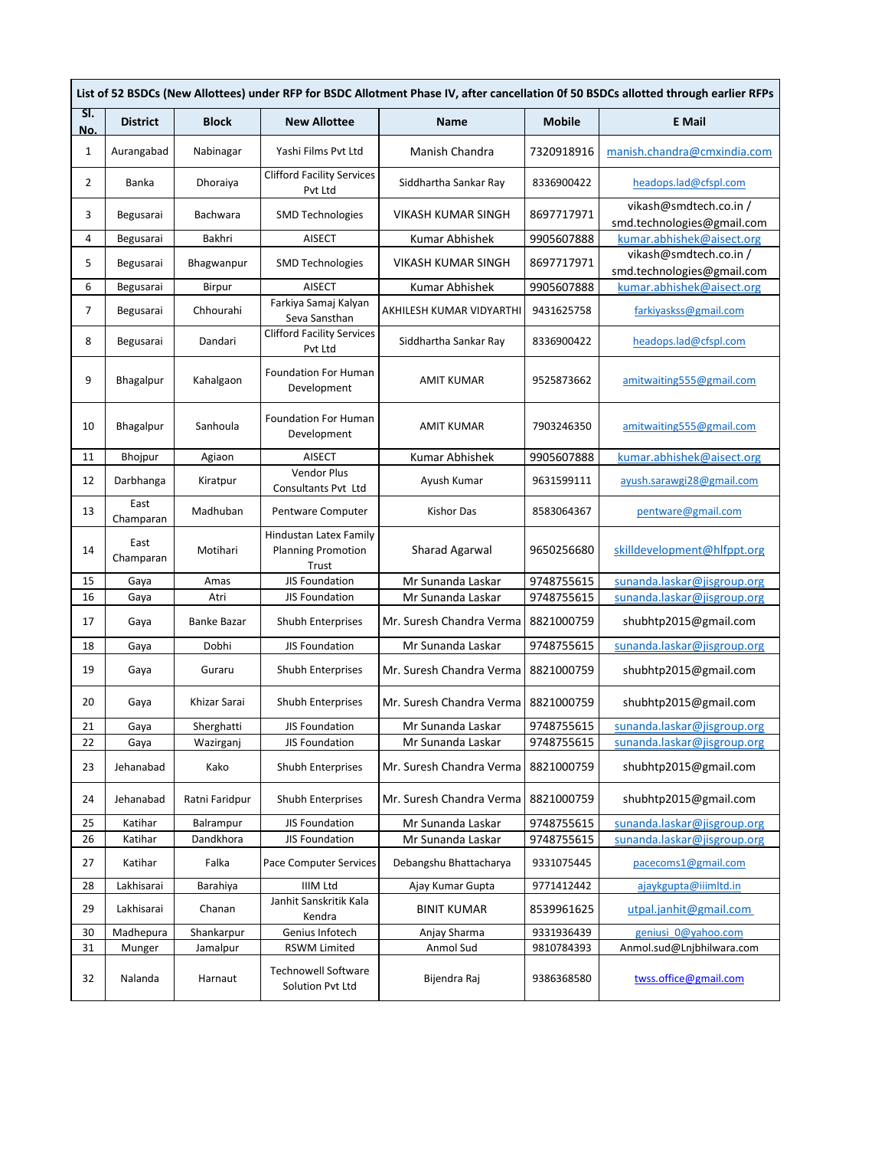| List of 52 BSDCs (New Allottees) under RFP for BSDC Allotment Phase IV, after cancellation 0f 50 BSDCs allotted through earlier RFPs |                   |                    |                                                              |                          |               |                                                      |  |  |  |
|--------------------------------------------------------------------------------------------------------------------------------------|-------------------|--------------------|--------------------------------------------------------------|--------------------------|---------------|------------------------------------------------------|--|--|--|
| SI.<br>No.                                                                                                                           | <b>District</b>   | <b>Block</b>       | <b>New Allottee</b>                                          | <b>Name</b>              | <b>Mobile</b> | <b>E</b> Mail                                        |  |  |  |
| 1                                                                                                                                    | Aurangabad        | Nabinagar          | Yashi Films Pvt Ltd                                          | Manish Chandra           | 7320918916    | manish.chandra@cmxindia.com                          |  |  |  |
| 2                                                                                                                                    | Banka             | Dhoraiya           | <b>Clifford Facility Services</b><br>Pvt Ltd                 | Siddhartha Sankar Ray    | 8336900422    | headops.lad@cfspl.com                                |  |  |  |
| 3                                                                                                                                    | Begusarai         | Bachwara           | <b>SMD Technologies</b>                                      | VIKASH KUMAR SINGH       | 8697717971    | vikash@smdtech.co.in /<br>smd.technologies@gmail.com |  |  |  |
| 4                                                                                                                                    | Begusarai         | Bakhri             | <b>AISECT</b>                                                | Kumar Abhishek           | 9905607888    | kumar.abhishek@aisect.org                            |  |  |  |
| 5                                                                                                                                    | Begusarai         | Bhagwanpur         | <b>SMD Technologies</b>                                      | VIKASH KUMAR SINGH       | 8697717971    | vikash@smdtech.co.in /<br>smd.technologies@gmail.com |  |  |  |
| 6                                                                                                                                    | Begusarai         | Birpur             | <b>AISECT</b>                                                | Kumar Abhishek           | 9905607888    | kumar.abhishek@aisect.org                            |  |  |  |
| 7                                                                                                                                    | Begusarai         | Chhourahi          | Farkiya Samaj Kalyan<br>Seva Sansthan                        | AKHILESH KUMAR VIDYARTHI | 9431625758    | farkiyaskss@gmail.com                                |  |  |  |
| 8                                                                                                                                    | Begusarai         | Dandari            | <b>Clifford Facility Services</b><br>Pvt Ltd                 | Siddhartha Sankar Ray    | 8336900422    | headops.lad@cfspl.com                                |  |  |  |
| 9                                                                                                                                    | Bhagalpur         | Kahalgaon          | <b>Foundation For Human</b><br>Development                   | AMIT KUMAR               | 9525873662    | amitwaiting555@gmail.com                             |  |  |  |
| 10                                                                                                                                   | Bhagalpur         | Sanhoula           | <b>Foundation For Human</b><br>Development                   | AMIT KUMAR               | 7903246350    | amitwaiting555@gmail.com                             |  |  |  |
| 11                                                                                                                                   | Bhojpur           | Agiaon             | <b>AISECT</b>                                                | Kumar Abhishek           | 9905607888    | kumar.abhishek@aisect.org                            |  |  |  |
| 12                                                                                                                                   | Darbhanga         | Kiratpur           | Vendor Plus<br>Consultants Pvt Ltd                           | Ayush Kumar              | 9631599111    | ayush.sarawgi28@gmail.com                            |  |  |  |
| 13                                                                                                                                   | East<br>Champaran | Madhuban           | Pentware Computer                                            | Kishor Das               | 8583064367    | pentware@gmail.com                                   |  |  |  |
| 14                                                                                                                                   | East<br>Champaran | Motihari           | Hindustan Latex Family<br><b>Planning Promotion</b><br>Trust | Sharad Agarwal           | 9650256680    | skilldevelopment@hlfppt.org                          |  |  |  |
| 15                                                                                                                                   | Gaya              | Amas               | JIS Foundation                                               | Mr Sunanda Laskar        | 9748755615    | sunanda.laskar@jisgroup.org                          |  |  |  |
| 16                                                                                                                                   | Gaya              | Atri               | JIS Foundation                                               | Mr Sunanda Laskar        | 9748755615    | sunanda.laskar@jisgroup.org                          |  |  |  |
| 17                                                                                                                                   | Gaya              | <b>Banke Bazar</b> | <b>Shubh Enterprises</b>                                     | Mr. Suresh Chandra Verma | 8821000759    | shubhtp2015@gmail.com                                |  |  |  |
| 18                                                                                                                                   | Gaya              | Dobhi              | <b>JIS Foundation</b>                                        | Mr Sunanda Laskar        | 9748755615    | sunanda.laskar@jisgroup.org                          |  |  |  |
| 19                                                                                                                                   | Gaya              | Guraru             | Shubh Enterprises                                            | Mr. Suresh Chandra Verma | 8821000759    | shubhtp2015@gmail.com                                |  |  |  |
| 20                                                                                                                                   | Gaya              | Khizar Sarai       | Shubh Enterprises                                            | Mr. Suresh Chandra Verma | 8821000759    | shubhtp2015@gmail.com                                |  |  |  |
| 21                                                                                                                                   | Gaya              | Sherghatti         | JIS Foundation                                               | Mr Sunanda Laskar        | 9748755615    | sunanda.laskar@jisgroup.org                          |  |  |  |
| 22                                                                                                                                   | Gaya              | Wazirganj          | JIS Foundation                                               | Mr Sunanda Laskar        | 9748755615    | sunanda.laskar@jisgroup.org                          |  |  |  |
| 23                                                                                                                                   | Jehanabad         | Kako               | Shubh Enterprises                                            | Mr. Suresh Chandra Verma | 8821000759    | shubhtp2015@gmail.com                                |  |  |  |
| 24                                                                                                                                   | Jehanabad         | Ratni Faridpur     | Shubh Enterprises                                            | Mr. Suresh Chandra Verma | 8821000759    | shubhtp2015@gmail.com                                |  |  |  |
| 25                                                                                                                                   | Katihar           | Balrampur          | JIS Foundation                                               | Mr Sunanda Laskar        | 9748755615    | sunanda.laskar@jisgroup.org                          |  |  |  |
| 26                                                                                                                                   | Katihar           | Dandkhora          | JIS Foundation                                               | Mr Sunanda Laskar        | 9748755615    | sunanda.laskar@jisgroup.org                          |  |  |  |
| 27                                                                                                                                   | Katihar           | Falka              | Pace Computer Services                                       | Debangshu Bhattacharya   | 9331075445    | pacecoms1@gmail.com                                  |  |  |  |
| 28                                                                                                                                   | Lakhisarai        | Barahiya           | IIIM Ltd                                                     | Ajay Kumar Gupta         | 9771412442    | ajaykgupta@iiimltd.in                                |  |  |  |
| 29                                                                                                                                   | Lakhisarai        | Chanan             | Janhit Sanskritik Kala<br>Kendra                             | <b>BINIT KUMAR</b>       | 8539961625    | utpal.janhit@gmail.com                               |  |  |  |
| 30                                                                                                                                   | Madhepura         | Shankarpur         | Genius Infotech                                              | Anjay Sharma             | 9331936439    | geniusi 0@yahoo.com                                  |  |  |  |
| 31                                                                                                                                   | Munger            | Jamalpur           | <b>RSWM Limited</b>                                          | Anmol Sud                | 9810784393    | Anmol.sud@Lnjbhilwara.com                            |  |  |  |
| 32                                                                                                                                   | Nalanda           | Harnaut            | <b>Technowell Software</b><br>Solution Pvt Ltd               | Bijendra Raj             | 9386368580    | twss.office@gmail.com                                |  |  |  |